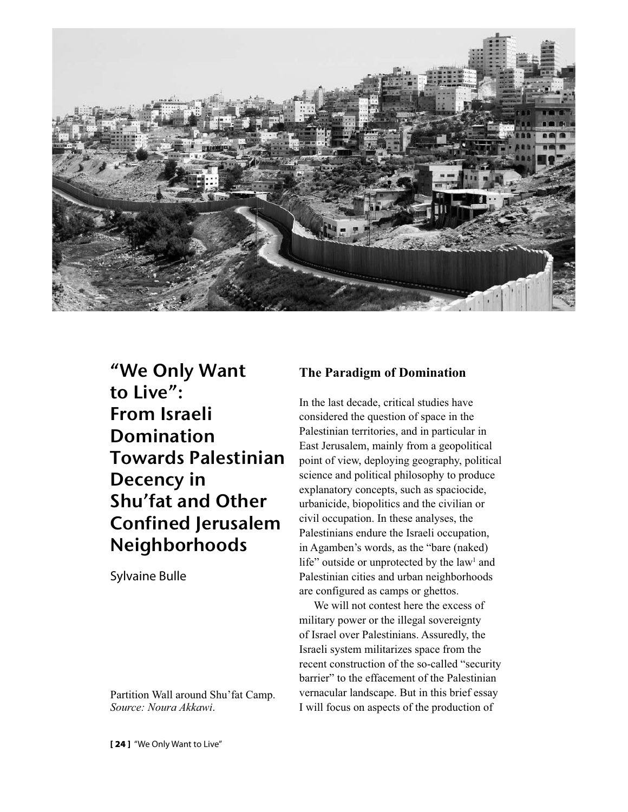

"We Only Want to Live": From Israeli Domination Towards Palestinian Decency in Shu'fat and Other Confined Jerusalem Neighborhoods

Sylvaine Bulle

Partition Wall around Shu'fat Camp. *Source: Noura Akkawi*.

# **The Paradigm of Domination**

In the last decade, critical studies have considered the question of space in the Palestinian territories, and in particular in East Jerusalem, mainly from a geopolitical point of view, deploying geography, political science and political philosophy to produce explanatory concepts, such as spaciocide, urbanicide, biopolitics and the civilian or civil occupation. In these analyses, the Palestinians endure the Israeli occupation, in Agamben's words, as the "bare (naked) life" outside or unprotected by the law $<sup>1</sup>$  and</sup> Palestinian cities and urban neighborhoods are configured as camps or ghettos.

We will not contest here the excess of military power or the illegal sovereignty of Israel over Palestinians. Assuredly, the Israeli system militarizes space from the recent construction of the so-called "security barrier" to the effacement of the Palestinian vernacular landscape. But in this brief essay I will focus on aspects of the production of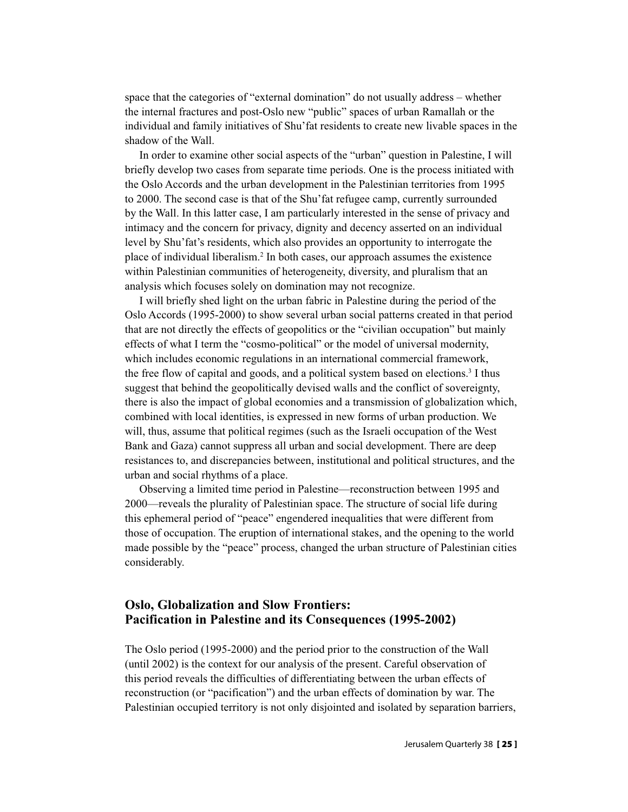space that the categories of "external domination" do not usually address – whether the internal fractures and post-Oslo new "public" spaces of urban Ramallah or the individual and family initiatives of Shu'fat residents to create new livable spaces in the shadow of the Wall.

In order to examine other social aspects of the "urban" question in Palestine, I will briefly develop two cases from separate time periods. One is the process initiated with the Oslo Accords and the urban development in the Palestinian territories from 1995 to 2000. The second case is that of the Shu'fat refugee camp, currently surrounded by the Wall. In this latter case, I am particularly interested in the sense of privacy and intimacy and the concern for privacy, dignity and decency asserted on an individual level by Shu'fat's residents, which also provides an opportunity to interrogate the place of individual liberalism.2 In both cases, our approach assumes the existence within Palestinian communities of heterogeneity, diversity, and pluralism that an analysis which focuses solely on domination may not recognize.

I will briefly shed light on the urban fabric in Palestine during the period of the Oslo Accords (1995-2000) to show several urban social patterns created in that period that are not directly the effects of geopolitics or the "civilian occupation" but mainly effects of what I term the "cosmo-political" or the model of universal modernity, which includes economic regulations in an international commercial framework, the free flow of capital and goods, and a political system based on elections.<sup>3</sup> I thus suggest that behind the geopolitically devised walls and the conflict of sovereignty, there is also the impact of global economies and a transmission of globalization which, combined with local identities, is expressed in new forms of urban production. We will, thus, assume that political regimes (such as the Israeli occupation of the West Bank and Gaza) cannot suppress all urban and social development. There are deep resistances to, and discrepancies between, institutional and political structures, and the urban and social rhythms of a place.

Observing a limited time period in Palestine—reconstruction between 1995 and 2000—reveals the plurality of Palestinian space. The structure of social life during this ephemeral period of "peace" engendered inequalities that were different from those of occupation. The eruption of international stakes, and the opening to the world made possible by the "peace" process, changed the urban structure of Palestinian cities considerably.

# **Oslo, Globalization and Slow Frontiers: Pacification in Palestine and its Consequences (1995-2002)**

The Oslo period (1995-2000) and the period prior to the construction of the Wall (until 2002) is the context for our analysis of the present. Careful observation of this period reveals the difficulties of differentiating between the urban effects of reconstruction (or "pacification") and the urban effects of domination by war. The Palestinian occupied territory is not only disjointed and isolated by separation barriers,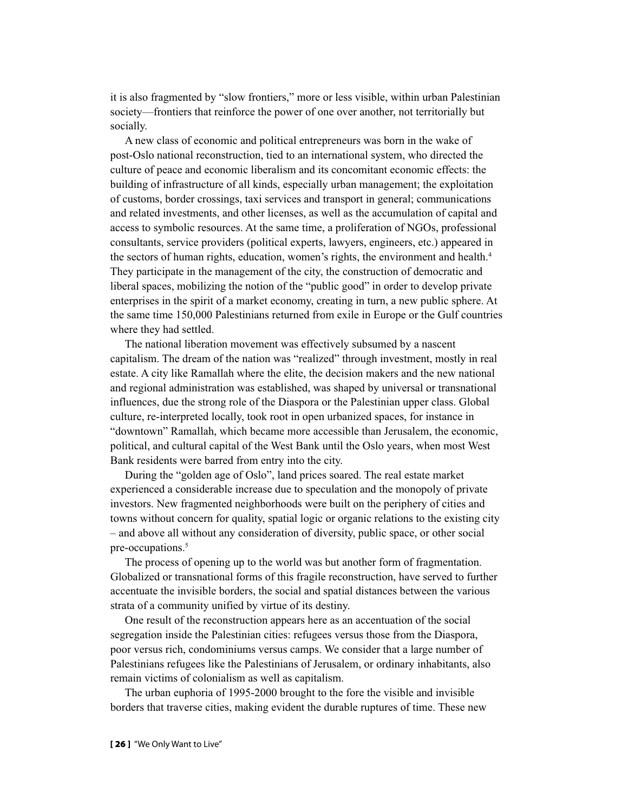it is also fragmented by "slow frontiers," more or less visible, within urban Palestinian society—frontiers that reinforce the power of one over another, not territorially but socially.

A new class of economic and political entrepreneurs was born in the wake of post-Oslo national reconstruction, tied to an international system, who directed the culture of peace and economic liberalism and its concomitant economic effects: the building of infrastructure of all kinds, especially urban management; the exploitation of customs, border crossings, taxi services and transport in general; communications and related investments, and other licenses, as well as the accumulation of capital and access to symbolic resources. At the same time, a proliferation of NGOs, professional consultants, service providers (political experts, lawyers, engineers, etc.) appeared in the sectors of human rights, education, women's rights, the environment and health.<sup>4</sup> They participate in the management of the city, the construction of democratic and liberal spaces, mobilizing the notion of the "public good" in order to develop private enterprises in the spirit of a market economy, creating in turn, a new public sphere. At the same time 150,000 Palestinians returned from exile in Europe or the Gulf countries where they had settled.

The national liberation movement was effectively subsumed by a nascent capitalism. The dream of the nation was "realized" through investment, mostly in real estate. A city like Ramallah where the elite, the decision makers and the new national and regional administration was established, was shaped by universal or transnational influences, due the strong role of the Diaspora or the Palestinian upper class. Global culture, re-interpreted locally, took root in open urbanized spaces, for instance in "downtown" Ramallah, which became more accessible than Jerusalem, the economic, political, and cultural capital of the West Bank until the Oslo years, when most West Bank residents were barred from entry into the city.

During the "golden age of Oslo", land prices soared. The real estate market experienced a considerable increase due to speculation and the monopoly of private investors. New fragmented neighborhoods were built on the periphery of cities and towns without concern for quality, spatial logic or organic relations to the existing city – and above all without any consideration of diversity, public space, or other social pre-occupations.<sup>5</sup>

The process of opening up to the world was but another form of fragmentation. Globalized or transnational forms of this fragile reconstruction, have served to further accentuate the invisible borders, the social and spatial distances between the various strata of a community unified by virtue of its destiny.

One result of the reconstruction appears here as an accentuation of the social segregation inside the Palestinian cities: refugees versus those from the Diaspora, poor versus rich, condominiums versus camps. We consider that a large number of Palestinians refugees like the Palestinians of Jerusalem, or ordinary inhabitants, also remain victims of colonialism as well as capitalism.

The urban euphoria of 1995-2000 brought to the fore the visible and invisible borders that traverse cities, making evident the durable ruptures of time. These new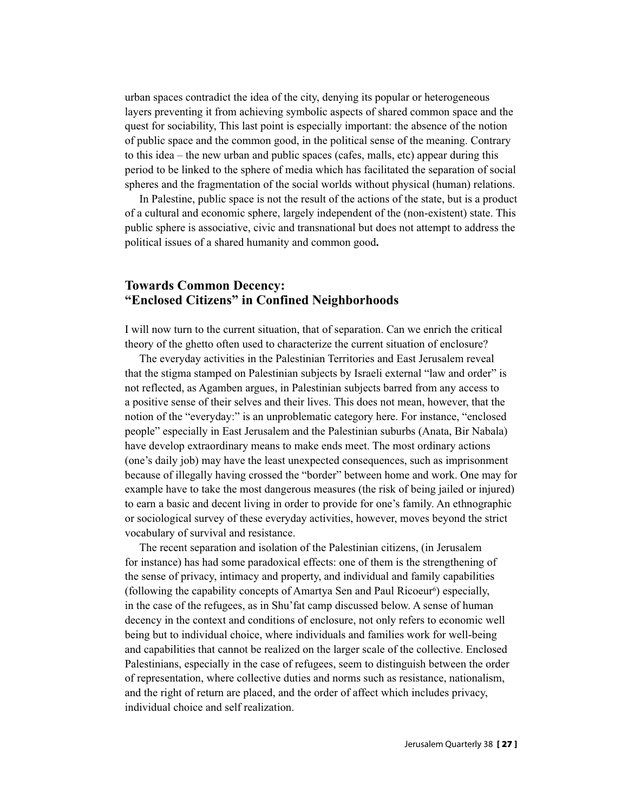urban spaces contradict the idea of the city, denying its popular or heterogeneous layers preventing it from achieving symbolic aspects of shared common space and the quest for sociability, This last point is especially important: the absence of the notion of public space and the common good, in the political sense of the meaning. Contrary to this idea – the new urban and public spaces (cafes, malls, etc) appear during this period to be linked to the sphere of media which has facilitated the separation of social spheres and the fragmentation of the social worlds without physical (human) relations.

In Palestine, public space is not the result of the actions of the state, but is a product of a cultural and economic sphere, largely independent of the (non-existent) state. This public sphere is associative, civic and transnational but does not attempt to address the political issues of a shared humanity and common good**.**

# **Towards Common Decency: "Enclosed Citizens" in Confined Neighborhoods**

I will now turn to the current situation, that of separation. Can we enrich the critical theory of the ghetto often used to characterize the current situation of enclosure?

The everyday activities in the Palestinian Territories and East Jerusalem reveal that the stigma stamped on Palestinian subjects by Israeli external "law and order" is not reflected, as Agamben argues, in Palestinian subjects barred from any access to a positive sense of their selves and their lives. This does not mean, however, that the notion of the "everyday:" is an unproblematic category here. For instance, "enclosed people" especially in East Jerusalem and the Palestinian suburbs (Anata, Bir Nabala) have develop extraordinary means to make ends meet. The most ordinary actions (one's daily job) may have the least unexpected consequences, such as imprisonment because of illegally having crossed the "border" between home and work. One may for example have to take the most dangerous measures (the risk of being jailed or injured) to earn a basic and decent living in order to provide for one's family. An ethnographic or sociological survey of these everyday activities, however, moves beyond the strict vocabulary of survival and resistance.

The recent separation and isolation of the Palestinian citizens, (in Jerusalem for instance) has had some paradoxical effects: one of them is the strengthening of the sense of privacy, intimacy and property, and individual and family capabilities (following the capability concepts of Amartya Sen and Paul Ricoeur<sup>6</sup>) especially, in the case of the refugees, as in Shu'fat camp discussed below. A sense of human decency in the context and conditions of enclosure, not only refers to economic well being but to individual choice, where individuals and families work for well-being and capabilities that cannot be realized on the larger scale of the collective. Enclosed Palestinians, especially in the case of refugees, seem to distinguish between the order of representation, where collective duties and norms such as resistance, nationalism, and the right of return are placed, and the order of affect which includes privacy, individual choice and self realization.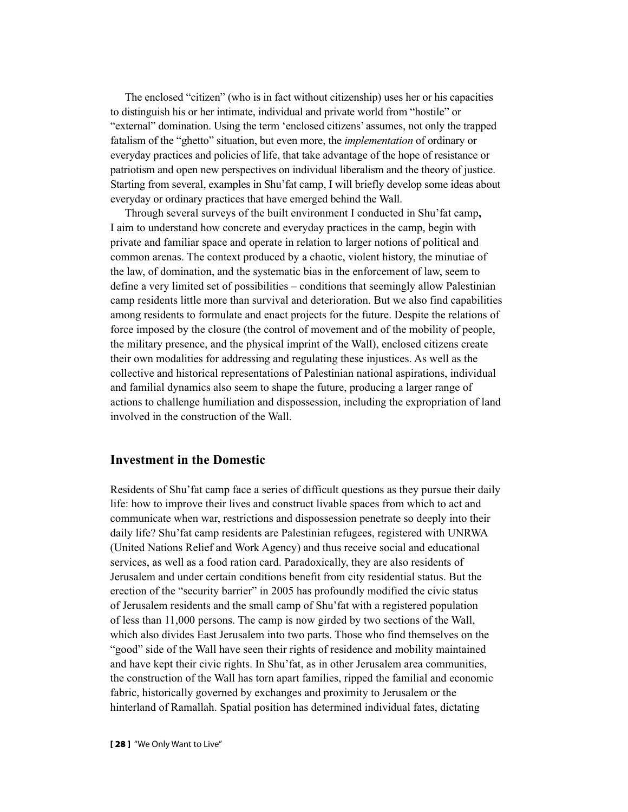The enclosed "citizen" (who is in fact without citizenship) uses her or his capacities to distinguish his or her intimate, individual and private world from "hostile" or "external" domination. Using the term 'enclosed citizens' assumes, not only the trapped fatalism of the "ghetto" situation, but even more, the *implementation* of ordinary or everyday practices and policies of life, that take advantage of the hope of resistance or patriotism and open new perspectives on individual liberalism and the theory of justice. Starting from several, examples in Shu'fat camp, I will briefly develop some ideas about everyday or ordinary practices that have emerged behind the Wall.

Through several surveys of the built environment I conducted in Shu'fat camp**,**  I aim to understand how concrete and everyday practices in the camp, begin with private and familiar space and operate in relation to larger notions of political and common arenas. The context produced by a chaotic, violent history, the minutiae of the law, of domination, and the systematic bias in the enforcement of law, seem to define a very limited set of possibilities – conditions that seemingly allow Palestinian camp residents little more than survival and deterioration. But we also find capabilities among residents to formulate and enact projects for the future. Despite the relations of force imposed by the closure (the control of movement and of the mobility of people, the military presence, and the physical imprint of the Wall), enclosed citizens create their own modalities for addressing and regulating these injustices. As well as the collective and historical representations of Palestinian national aspirations, individual and familial dynamics also seem to shape the future, producing a larger range of actions to challenge humiliation and dispossession, including the expropriation of land involved in the construction of the Wall.

## **Investment in the Domestic**

Residents of Shu'fat camp face a series of difficult questions as they pursue their daily life: how to improve their lives and construct livable spaces from which to act and communicate when war, restrictions and dispossession penetrate so deeply into their daily life? Shu'fat camp residents are Palestinian refugees, registered with UNRWA (United Nations Relief and Work Agency) and thus receive social and educational services, as well as a food ration card. Paradoxically, they are also residents of Jerusalem and under certain conditions benefit from city residential status. But the erection of the "security barrier" in 2005 has profoundly modified the civic status of Jerusalem residents and the small camp of Shu'fat with a registered population of less than 11,000 persons. The camp is now girded by two sections of the Wall, which also divides East Jerusalem into two parts. Those who find themselves on the "good" side of the Wall have seen their rights of residence and mobility maintained and have kept their civic rights. In Shu'fat, as in other Jerusalem area communities, the construction of the Wall has torn apart families, ripped the familial and economic fabric, historically governed by exchanges and proximity to Jerusalem or the hinterland of Ramallah. Spatial position has determined individual fates, dictating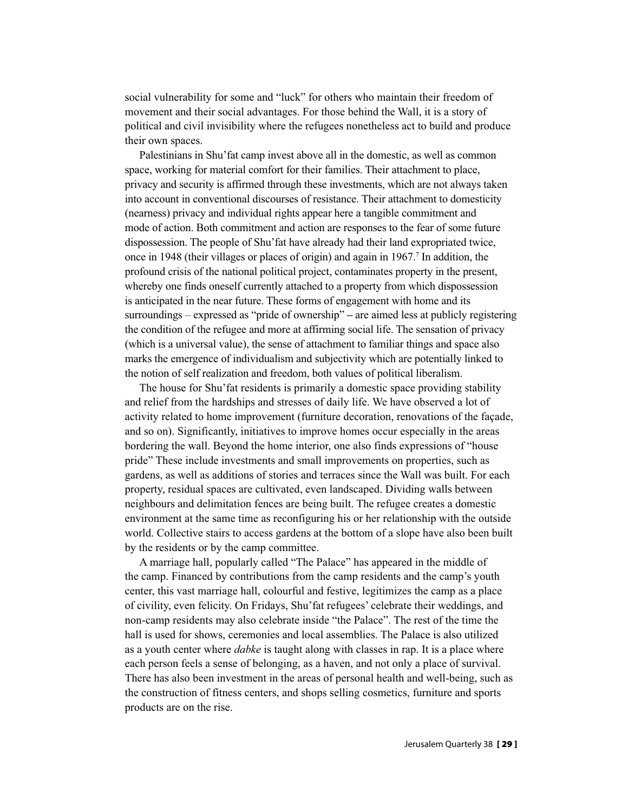social vulnerability for some and "luck" for others who maintain their freedom of movement and their social advantages. For those behind the Wall, it is a story of political and civil invisibility where the refugees nonetheless act to build and produce their own spaces.

Palestinians in Shu'fat camp invest above all in the domestic, as well as common space, working for material comfort for their families. Their attachment to place, privacy and security is affirmed through these investments, which are not always taken into account in conventional discourses of resistance. Their attachment to domesticity (nearness) privacy and individual rights appear here a tangible commitment and mode of action. Both commitment and action are responses to the fear of some future dispossession. The people of Shu'fat have already had their land expropriated twice, once in 1948 (their villages or places of origin) and again in  $1967$ .<sup>7</sup> In addition, the profound crisis of the national political project, contaminates property in the present, whereby one finds oneself currently attached to a property from which dispossession is anticipated in the near future. These forms of engagement with home and its surroundings – expressed as "pride of ownership" **–** are aimed less at publicly registering the condition of the refugee and more at affirming social life. The sensation of privacy (which is a universal value), the sense of attachment to familiar things and space also marks the emergence of individualism and subjectivity which are potentially linked to the notion of self realization and freedom, both values of political liberalism.

The house for Shu'fat residents is primarily a domestic space providing stability and relief from the hardships and stresses of daily life. We have observed a lot of activity related to home improvement (furniture decoration, renovations of the façade, and so on). Significantly, initiatives to improve homes occur especially in the areas bordering the wall. Beyond the home interior, one also finds expressions of "house pride" These include investments and small improvements on properties, such as gardens, as well as additions of stories and terraces since the Wall was built. For each property, residual spaces are cultivated, even landscaped. Dividing walls between neighbours and delimitation fences are being built. The refugee creates a domestic environment at the same time as reconfiguring his or her relationship with the outside world. Collective stairs to access gardens at the bottom of a slope have also been built by the residents or by the camp committee.

A marriage hall, popularly called "The Palace" has appeared in the middle of the camp. Financed by contributions from the camp residents and the camp's youth center, this vast marriage hall, colourful and festive, legitimizes the camp as a place of civility, even felicity. On Fridays, Shu'fat refugees' celebrate their weddings, and non-camp residents may also celebrate inside "the Palace". The rest of the time the hall is used for shows, ceremonies and local assemblies. The Palace is also utilized as a youth center where *dabke* is taught along with classes in rap. It is a place where each person feels a sense of belonging, as a haven, and not only a place of survival. There has also been investment in the areas of personal health and well-being, such as the construction of fitness centers, and shops selling cosmetics, furniture and sports products are on the rise.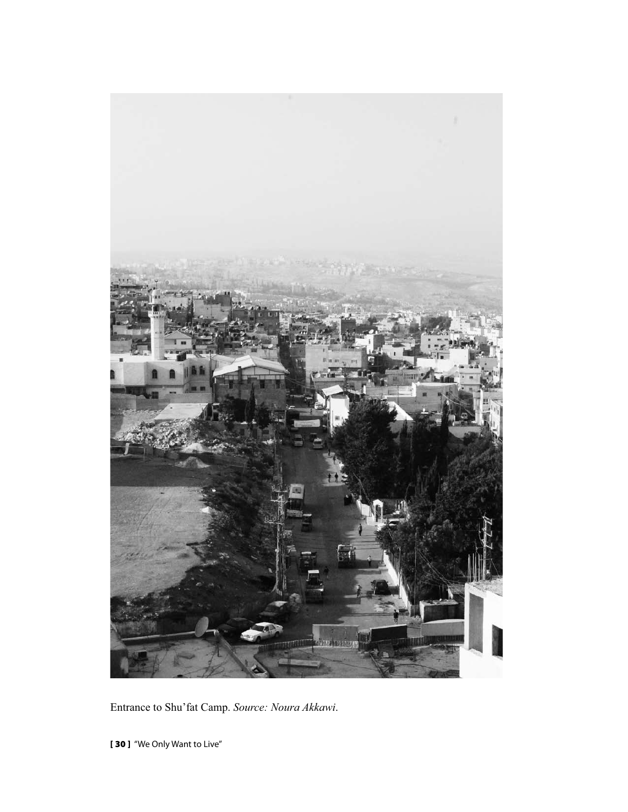

Entrance to Shu'fat Camp. *Source: Noura Akkawi*.

**[ 30 ]** "We Only Want to Live"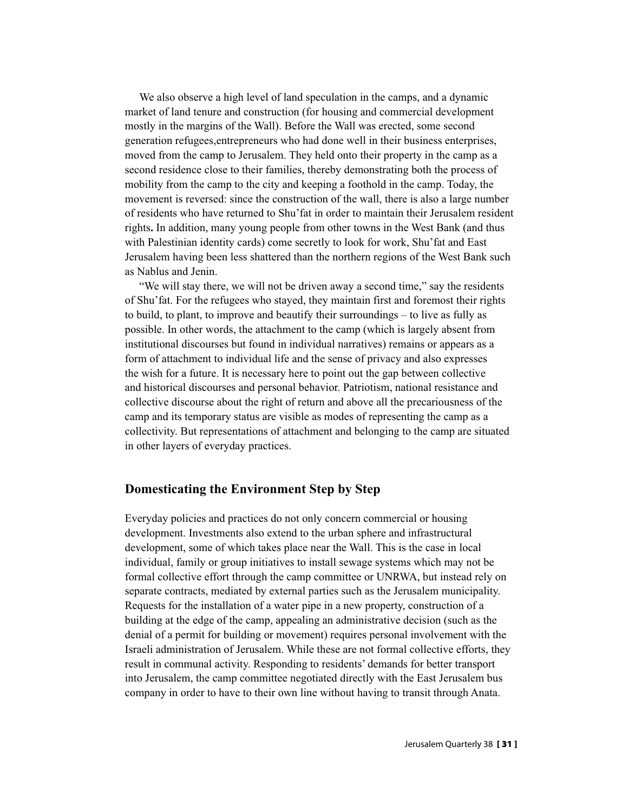We also observe a high level of land speculation in the camps, and a dynamic market of land tenure and construction (for housing and commercial development mostly in the margins of the Wall). Before the Wall was erected, some second generation refugees,entrepreneurs who had done well in their business enterprises, moved from the camp to Jerusalem. They held onto their property in the camp as a second residence close to their families, thereby demonstrating both the process of mobility from the camp to the city and keeping a foothold in the camp. Today, the movement is reversed: since the construction of the wall, there is also a large number of residents who have returned to Shu'fat in order to maintain their Jerusalem resident rights**.** In addition, many young people from other towns in the West Bank (and thus with Palestinian identity cards) come secretly to look for work, Shu'fat and East Jerusalem having been less shattered than the northern regions of the West Bank such as Nablus and Jenin.

"We will stay there, we will not be driven away a second time," say the residents of Shu'fat. For the refugees who stayed, they maintain first and foremost their rights to build, to plant, to improve and beautify their surroundings – to live as fully as possible. In other words, the attachment to the camp (which is largely absent from institutional discourses but found in individual narratives) remains or appears as a form of attachment to individual life and the sense of privacy and also expresses the wish for a future. It is necessary here to point out the gap between collective and historical discourses and personal behavior. Patriotism, national resistance and collective discourse about the right of return and above all the precariousness of the camp and its temporary status are visible as modes of representing the camp as a collectivity. But representations of attachment and belonging to the camp are situated in other layers of everyday practices.

## **Domesticating the Environment Step by Step**

Everyday policies and practices do not only concern commercial or housing development. Investments also extend to the urban sphere and infrastructural development, some of which takes place near the Wall. This is the case in local individual, family or group initiatives to install sewage systems which may not be formal collective effort through the camp committee or UNRWA, but instead rely on separate contracts, mediated by external parties such as the Jerusalem municipality. Requests for the installation of a water pipe in a new property, construction of a building at the edge of the camp, appealing an administrative decision (such as the denial of a permit for building or movement) requires personal involvement with the Israeli administration of Jerusalem. While these are not formal collective efforts, they result in communal activity. Responding to residents' demands for better transport into Jerusalem, the camp committee negotiated directly with the East Jerusalem bus company in order to have to their own line without having to transit through Anata.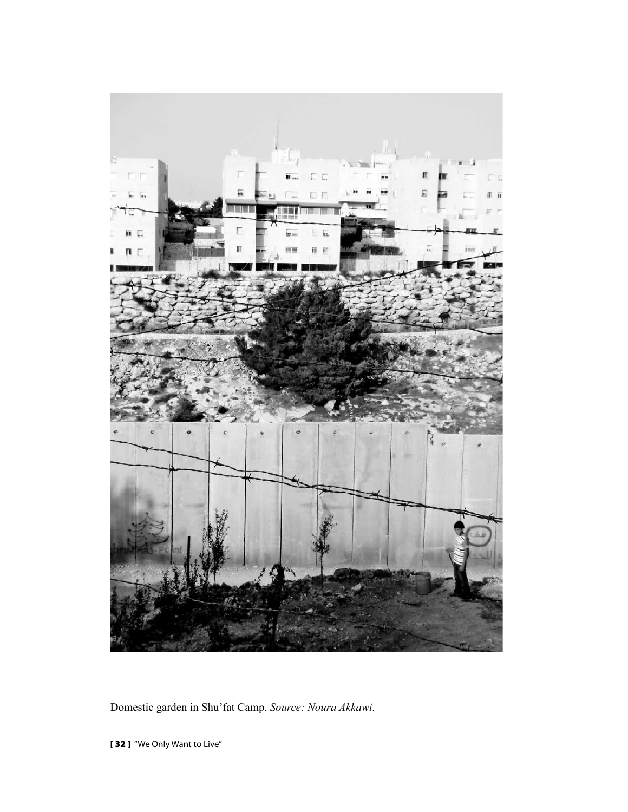

Domestic garden in Shu'fat Camp. *Source: Noura Akkawi*.

**[ 32 ]** "We Only Want to Live"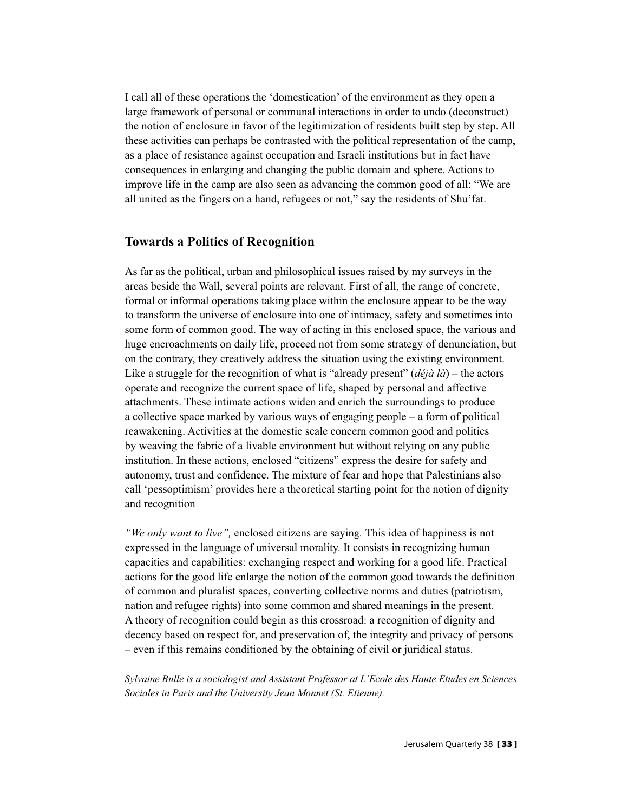I call all of these operations the 'domestication' of the environment as they open a large framework of personal or communal interactions in order to undo (deconstruct) the notion of enclosure in favor of the legitimization of residents built step by step. All these activities can perhaps be contrasted with the political representation of the camp, as a place of resistance against occupation and Israeli institutions but in fact have consequences in enlarging and changing the public domain and sphere. Actions to improve life in the camp are also seen as advancing the common good of all: "We are all united as the fingers on a hand, refugees or not," say the residents of Shu'fat.

## **Towards a Politics of Recognition**

As far as the political, urban and philosophical issues raised by my surveys in the areas beside the Wall, several points are relevant. First of all, the range of concrete, formal or informal operations taking place within the enclosure appear to be the way to transform the universe of enclosure into one of intimacy, safety and sometimes into some form of common good. The way of acting in this enclosed space, the various and huge encroachments on daily life, proceed not from some strategy of denunciation, but on the contrary, they creatively address the situation using the existing environment. Like a struggle for the recognition of what is "already present" (*déjà là*) – the actors operate and recognize the current space of life, shaped by personal and affective attachments. These intimate actions widen and enrich the surroundings to produce a collective space marked by various ways of engaging people – a form of political reawakening. Activities at the domestic scale concern common good and politics by weaving the fabric of a livable environment but without relying on any public institution. In these actions, enclosed "citizens" express the desire for safety and autonomy, trust and confidence. The mixture of fear and hope that Palestinians also call 'pessoptimism' provides here a theoretical starting point for the notion of dignity and recognition

*"We only want to live",* enclosed citizens are saying*.* This idea of happiness is not expressed in the language of universal morality. It consists in recognizing human capacities and capabilities: exchanging respect and working for a good life. Practical actions for the good life enlarge the notion of the common good towards the definition of common and pluralist spaces, converting collective norms and duties (patriotism, nation and refugee rights) into some common and shared meanings in the present. A theory of recognition could begin as this crossroad: a recognition of dignity and decency based on respect for, and preservation of, the integrity and privacy of persons – even if this remains conditioned by the obtaining of civil or juridical status.

*Sylvaine Bulle is a sociologist and Assistant Professor at L'Ecole des Haute Etudes en Sciences Sociales in Paris and the University Jean Monnet (St. Etienne).*